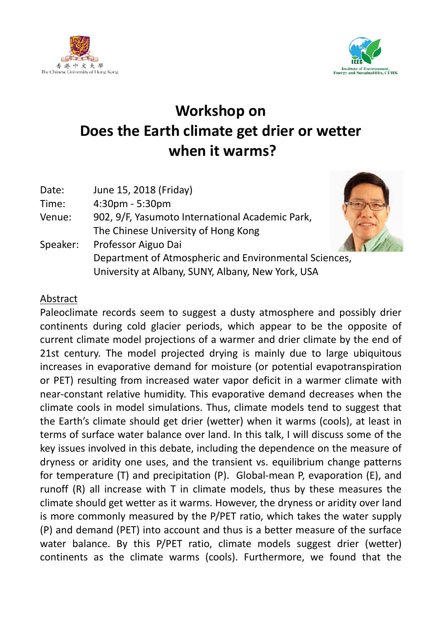



## **Workshop on Does the Earth climate get drier or wetter when it warms?**

| Date:<br>Time: | June 15, 2018 (Friday)<br>4:30pm - 5:30pm             |  |
|----------------|-------------------------------------------------------|--|
| Venue:         | 902, 9/F, Yasumoto International Academic Park,       |  |
|                | The Chinese University of Hong Kong                   |  |
| Speaker:       | Professor Aiguo Dai                                   |  |
|                | Department of Atmospheric and Environmental Sciences, |  |
|                | University at Albany, SUNY, Albany, New York, USA     |  |

## Abstract

Paleoclimate records seem to suggest a dusty atmosphere and possibly drier continents during cold glacier periods, which appear to be the opposite of current climate model projections of a warmer and drier climate by the end of 21st century. The model projected drying is mainly due to large ubiquitous increases in evaporative demand for moisture (or potential evapotranspiration or PET) resulting from increased water vapor deficit in a warmer climate with near-constant relative humidity. This evaporative demand decreases when the climate cools in model simulations. Thus, climate models tend to suggest that the Earth's climate should get drier (wetter) when it warms (cools), at least in terms of surface water balance over land. In this talk, I will discuss some of the key issues involved in this debate, including the dependence on the measure of dryness or aridity one uses, and the transient vs. equilibrium change patterns for temperature (T) and precipitation (P). Global-mean P, evaporation (E), and runoff (R) all increase with T in climate models, thus by these measures the climate should get wetter as it warms. However, the dryness or aridity over land is more commonly measured by the P/PET ratio, which takes the water supply (P) and demand (PET) into account and thus is a better measure of the surface water balance. By this P/PET ratio, climate models suggest drier (wetter) continents as the climate warms (cools). Furthermore, we found that the